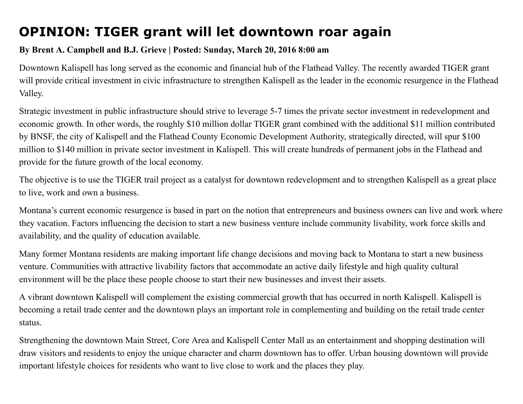## OPINION: TIGER grant will let downtown roar again

## By Brent A. Campbell and B.J. Grieve | Posted: Sunday, March 20, 2016 8:00 am

Downtown Kalispell has long served as the economic and financial hub of the Flathead Valley. The recently awarded TIGER grant will provide critical investment in civic infrastructure to strengthen Kalispell as the leader in the economic resurgence in the Flathead Valley.

Strategic investment in public infrastructure should strive to leverage 5-7 times the private sector investment in redevelopment and economic growth. In other words, the roughly \$10 million dollar TIGER grant combined with the additional \$11 million contributed by BNSF, the city of Kalispell and the Flathead County Economic Development Authority, strategically directed, will spur \$100 million to \$140 million in private sector investment in Kalispell. This will create hundreds of permanent jobs in the Flathead and provide for the future growth of the local economy.

The objective is to use the TIGER trail project as a catalyst for downtown redevelopment and to strengthen Kalispell as a great place to live, work and own a business.

Montana's current economic resurgence is based in part on the notion that entrepreneurs and business owners can live and work where they vacation. Factors influencing the decision to start a new business venture include community livability, work force skills and availability, and the quality of education available.

Many former Montana residents are making important life change decisions and moving back to Montana to start a new business venture. Communities with attractive livability factors that accommodate an active daily lifestyle and high quality cultural environment will be the place these people choose to start their new businesses and invest their assets.

A vibrant downtown Kalispell will complement the existing commercial growth that has occurred in north Kalispell. Kalispell is becoming a retail trade center and the downtown plays an important role in complementing and building on the retail trade center status.

Strengthening the downtown Main Street, Core Area and Kalispell Center Mall as an entertainment and shopping destination will draw visitors and residents to enjoy the unique character and charm downtown has to offer. Urban housing downtown will provide important lifestyle choices for residents who want to live close to work and the places they play.